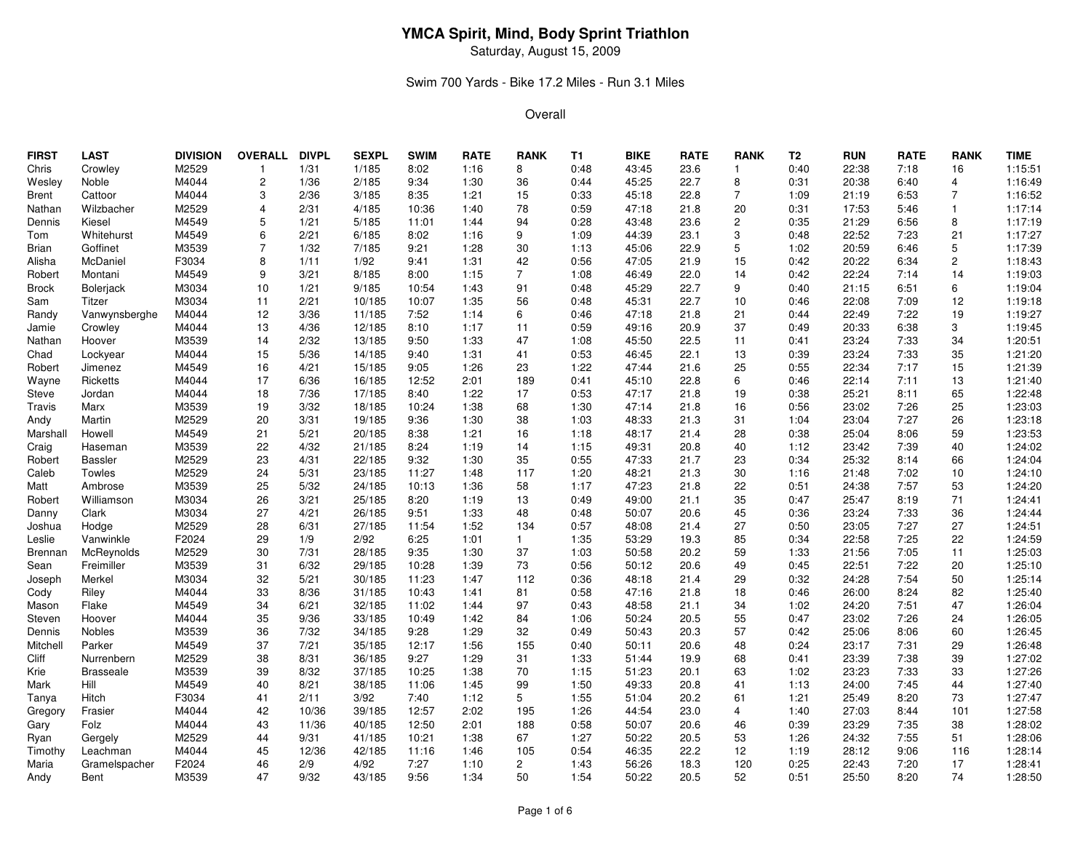Saturday, August 15, 2009

### Swim 700 Yards - Bike 17.2 Miles - Run 3.1 Miles

| <b>FIRST</b> | <b>LAST</b>      | <b>DIVISION</b> | <b>OVERALL</b> | <b>DIVPL</b> | <b>SEXPL</b> | <b>SWIM</b> | <b>RATE</b> | <b>RANK</b>           | <b>T1</b> | <b>BIKE</b> | <b>RATE</b> | <b>RANK</b>    | T <sub>2</sub> | <b>RUN</b> | <b>RATE</b> | <b>RANK</b>    | <b>TIME</b> |
|--------------|------------------|-----------------|----------------|--------------|--------------|-------------|-------------|-----------------------|-----------|-------------|-------------|----------------|----------------|------------|-------------|----------------|-------------|
| Chris        | Crowley          | M2529           | $\mathbf{1}$   | 1/31         | 1/185        | 8:02        | 1:16        | 8                     | 0:48      | 43:45       | 23.6        | $\mathbf{1}$   | 0:40           | 22:38      | 7:18        | 16             | 1:15:51     |
| Wesley       | Noble            | M4044           | $\overline{c}$ | 1/36         | 2/185        | 9:34        | 1:30        | 36                    | 0:44      | 45:25       | 22.7        | 8              | 0:31           | 20:38      | 6:40        | 4              | 1:16:49     |
| Brent        | Cattoor          | M4044           | 3              | 2/36         | 3/185        | 8:35        | 1:21        | 15                    | 0:33      | 45:18       | 22.8        | 7              | 1:09           | 21:19      | 6:53        | $\overline{7}$ | 1:16:52     |
| Nathan       | Wilzbacher       | M2529           | 4              | 2/31         | 4/185        | 10:36       | 1:40        | 78                    | 0:59      | 47:18       | 21.8        | 20             | 0:31           | 17:53      | 5:46        |                | 1:17:14     |
| Dennis       | Kiesel           | M4549           | 5              | 1/21         | 5/185        | 11:01       | 1:44        | 94                    | 0:28      | 43:48       | 23.6        | $\overline{2}$ | 0:35           | 21:29      | 6:56        | 8              | 1:17:19     |
| Tom          | Whitehurst       | M4549           | 6              | 2/21         | 6/185        | 8:02        | 1:16        | 9                     | 1:09      | 44:39       | 23.1        | 3              | 0:48           | 22:52      | 7:23        | 21             | 1:17:27     |
| Brian        | Goffinet         | M3539           | $\overline{7}$ | 1/32         | 7/185        | 9:21        | 1:28        | 30                    | 1:13      | 45:06       | 22.9        | 5              | 1:02           | 20:59      | 6:46        | 5              | 1:17:39     |
| Alisha       | McDaniel         | F3034           | 8              | 1/11         | 1/92         | 9:41        | 1:31        | 42                    | 0:56      | 47:05       | 21.9        | 15             | 0:42           | 20:22      | 6:34        | $\mathbf{2}$   | 1:18:43     |
| Robert       | Montani          | M4549           | 9              | 3/21         | 8/185        | 8:00        | 1:15        | $\overline{7}$        | 1:08      | 46:49       | 22.0        | 14             | 0:42           | 22:24      | 7:14        | 14             | 1:19:03     |
| <b>Brock</b> | <b>Bolerjack</b> | M3034           | 10             | 1/21         | 9/185        | 10:54       | 1:43        | 91                    | 0:48      | 45:29       | 22.7        | 9              | 0:40           | 21:15      | 6:51        | 6              | 1:19:04     |
| Sam          | Titzer           | M3034           | 11             | 2/21         | 10/185       | 10:07       | 1:35        | 56                    | 0:48      | 45:31       | 22.7        | 10             | 0:46           | 22:08      | 7:09        | 12             | 1:19:18     |
| Randy        | Vanwynsberghe    | M4044           | 12             | 3/36         | 11/185       | 7:52        | 1:14        | 6                     | 0:46      | 47:18       | 21.8        | 21             | 0:44           | 22:49      | 7:22        | 19             | 1:19:27     |
| Jamie        | Crowley          | M4044           | 13             | 4/36         | 12/185       | 8:10        | 1:17        | 11                    | 0:59      | 49:16       | 20.9        | 37             | 0:49           | 20:33      | 6:38        | 3              | 1:19:45     |
| Nathan       | Hoover           | M3539           | 14             | 2/32         | 13/185       | 9:50        | 1:33        | 47                    | 1:08      | 45:50       | 22.5        | 11             | 0:41           | 23:24      | 7:33        | 34             | 1:20:51     |
| Chad         | Lockyear         | M4044           | 15             | 5/36         | 14/185       | 9:40        | 1:31        | 41                    | 0:53      | 46:45       | 22.1        | 13             | 0:39           | 23:24      | 7:33        | 35             | 1:21:20     |
| Robert       | Jimenez          | M4549           | 16             | 4/21         | 15/185       | 9:05        | 1:26        | 23                    | 1:22      | 47:44       | 21.6        | 25             | 0:55           | 22:34      | 7:17        | 15             | 1:21:39     |
| Wayne        | Ricketts         | M4044           | 17             | 6/36         | 16/185       | 12:52       | 2:01        | 189                   | 0:41      | 45:10       | 22.8        | 6              | 0:46           | 22:14      | 7:11        | 13             | 1:21:40     |
| Steve        | Jordan           | M4044           | 18             | 7/36         | 17/185       | 8:40        | 1:22        | 17                    | 0:53      | 47:17       | 21.8        | 19             | 0:38           | 25:21      | 8:11        | 65             | 1:22:48     |
| Travis       | Marx             | M3539           | 19             | 3/32         | 18/185       | 10:24       | 1:38        | 68                    | 1:30      | 47:14       | 21.8        | 16             | 0:56           | 23:02      | 7:26        | 25             | 1:23:03     |
| Andy         | Martin           | M2529           | 20             | 3/31         | 19/185       | 9:36        | 1:30        | 38                    | 1:03      | 48:33       | 21.3        | 31             | 1:04           | 23:04      | 7:27        | 26             | 1:23:18     |
| Marshall     | Howell           | M4549           | 21             | 5/21         | 20/185       | 8:38        | 1:21        | 16                    | 1:18      | 48:17       | 21.4        | 28             | 0:38           | 25:04      | 8:06        | 59             | 1:23:53     |
| Craig        | Haseman          | M3539           | 22             | 4/32         | 21/185       | 8:24        | 1:19        | 14                    | 1:15      | 49:31       | 20.8        | 40             | 1:12           | 23:42      | 7:39        | 40             | 1:24:02     |
| Robert       | <b>Bassler</b>   | M2529           | 23             | 4/31         | 22/185       | 9:32        | 1:30        | 35                    | 0:55      | 47:33       | 21.7        | 23             | 0:34           | 25:32      | 8:14        | 66             | 1:24:04     |
| Caleb        | <b>Towles</b>    | M2529           | 24             | 5/31         | 23/185       | 11:27       | 1:48        | 117                   | 1:20      | 48:21       | 21.3        | 30             | 1:16           | 21:48      | 7:02        | 10             | 1:24:10     |
| Matt         | Ambrose          | M3539           | 25             | 5/32         | 24/185       | 10:13       | 1:36        | 58                    | 1:17      | 47:23       | 21.8        | 22             | 0:51           | 24:38      | 7:57        | 53             | 1:24:20     |
| Robert       | Williamson       | M3034           | 26             | 3/21         | 25/185       | 8:20        | 1:19        | 13                    | 0:49      | 49:00       | 21.1        | 35             | 0:47           | 25:47      | 8:19        | 71             | 1:24:41     |
| Danny        | Clark            | M3034           | 27             | 4/21         | 26/185       | 9:51        | 1:33        | 48                    | 0:48      | 50:07       | 20.6        | 45             | 0:36           | 23:24      | 7:33        | 36             | 1:24:44     |
| Joshua       | Hodge            | M2529           | 28             | 6/31         | 27/185       | 11:54       | 1:52        | 134                   | 0:57      | 48:08       | 21.4        | 27             | 0:50           | 23:05      | 7:27        | 27             | 1:24:51     |
| Leslie       | Vanwinkle        | F2024           | 29             | 1/9          | 2/92         | 6:25        | 1:01        | $\mathbf{1}$          | 1:35      | 53:29       | 19.3        | 85             | 0:34           | 22:58      | 7:25        | 22             | 1:24:59     |
| Brennan      | McReynolds       | M2529           | 30             | 7/31         | 28/185       | 9:35        | 1:30        | 37                    | 1:03      | 50:58       | 20.2        | 59             | 1:33           | 21:56      | 7:05        | 11             | 1:25:03     |
| Sean         | Freimiller       | M3539           | 31             | 6/32         | 29/185       | 10:28       | 1:39        | 73                    | 0:56      | 50:12       | 20.6        | 49             | 0:45           | 22:51      | 7:22        | 20             | 1:25:10     |
| Joseph       | Merkel           | M3034           | 32             | 5/21         | 30/185       | 11:23       | 1:47        | 112                   | 0:36      | 48:18       | 21.4        | 29             | 0:32           | 24:28      | 7:54        | 50             | 1:25:14     |
| Cody         | Riley            | M4044           | 33             | 8/36         | 31/185       | 10:43       | 1:41        | 81                    | 0:58      | 47:16       | 21.8        | 18             | 0:46           | 26:00      | 8:24        | 82             | 1:25:40     |
| Mason        | Flake            | M4549           | 34             | 6/21         | 32/185       | 11:02       | 1:44        | 97                    | 0:43      | 48:58       | 21.1        | 34             | 1:02           | 24:20      | 7:51        | 47             | 1:26:04     |
| Steven       | Hoover           | M4044           | 35             | 9/36         | 33/185       | 10:49       | 1:42        | 84                    | 1:06      | 50:24       | 20.5        | 55             | 0:47           | 23:02      | 7:26        | 24             | 1:26:05     |
| Dennis       | Nobles           | M3539           | 36             | $7/32$       | 34/185       | 9:28        | 1:29        | 32                    | 0:49      | 50:43       | 20.3        | 57             | 0:42           | 25:06      | 8:06        | 60             | 1:26:45     |
| Mitchell     | Parker           | M4549           | 37             | 7/21         | 35/185       | 12:17       | 1:56        | 155                   | 0:40      | 50:11       | 20.6        | 48             | 0:24           | 23:17      | 7:31        | 29             | 1:26:48     |
| Cliff        | Nurrenbern       | M2529           | 38             | 8/31         | 36/185       | 9:27        | 1:29        | 31                    | 1:33      | 51:44       | 19.9        | 68             | 0:41           | 23:39      | 7:38        | 39             | 1:27:02     |
| Krie         | Brasseale        | M3539           | 39             | 8/32         | 37/185       | 10:25       | 1:38        | 70                    | 1:15      | 51:23       | 20.1        | 63             | 1:02           | 23:23      | 7:33        | 33             | 1:27:26     |
| Mark         | Hill             | M4549           | 40             | 8/21         | 38/185       | 11:06       | 1:45        | 99                    | 1:50      | 49:33       | 20.8        | 41             | 1:13           | 24:00      | 7:45        | 44             | 1:27:40     |
| Tanya        | Hitch            | F3034           | 41             | 2/11         | 3/92         | 7:40        | 1:12        | 5                     | 1:55      | 51:04       | 20.2        | 61             | 1:21           | 25:49      | 8:20        | 73             | 1:27:47     |
| Gregory      | Frasier          | M4044           | 42             | 10/36        | 39/185       | 12:57       | 2:02        | 195                   | 1:26      | 44:54       | 23.0        | 4              | 1:40           | 27:03      | 8:44        | 101            | 1:27:58     |
| Gary         | Folz             | M4044           | 43             | 11/36        | 40/185       | 12:50       | 2:01        | 188                   | 0:58      | 50:07       | 20.6        | 46             | 0:39           | 23:29      | 7:35        | 38             | 1:28:02     |
| Ryan         | Gergely          | M2529           | 44             | 9/31         | 41/185       | 10:21       | 1:38        | 67                    | 1:27      | 50:22       | 20.5        | 53             | 1:26           | 24:32      | 7:55        | 51             | 1:28:06     |
| Timothy      | Leachman         | M4044           | 45             | 12/36        | 42/185       | 11:16       | 1:46        | 105                   | 0:54      | 46:35       | 22.2        | 12             | 1:19           | 28:12      | 9:06        | 116            | 1:28:14     |
| Maria        | Gramelspacher    | F2024           | 46             | 2/9          | 4/92         | 7:27        | 1:10        | $\mathbf{2}^{\prime}$ | 1:43      | 56:26       | 18.3        | 120            | 0:25           | 22:43      | 7:20        | 17             | 1:28:41     |
| Andy         | Bent             | M3539           | 47             | 9/32         | 43/185       | 9:56        | 1:34        | 50                    | 1:54      | 50:22       | 20.5        | 52             | 0:51           | 25:50      | 8:20        | 74             | 1:28:50     |
|              |                  |                 |                |              |              |             |             |                       |           |             |             |                |                |            |             |                |             |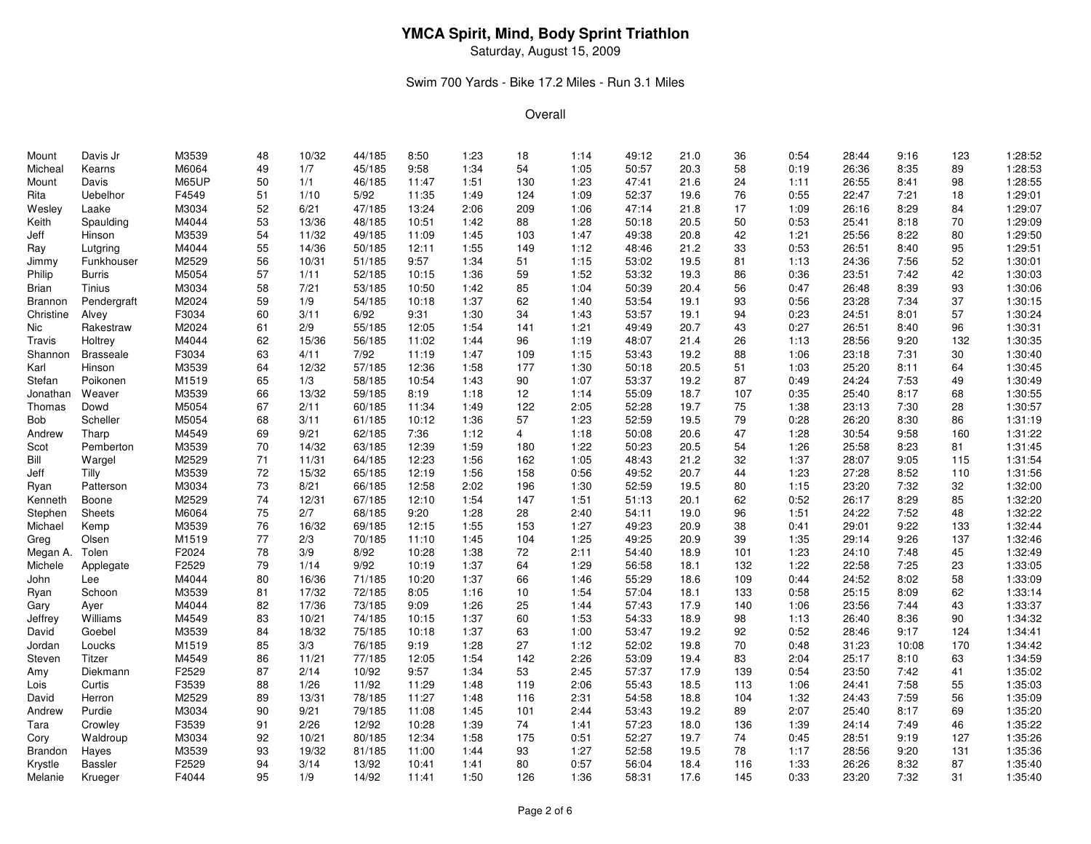Saturday, August 15, 2009

### Swim 700 Yards - Bike 17.2 Miles - Run 3.1 Miles

| Mount     | Davis Jr           | M3539 | 48 | 10/32 | 44/185 | 8:50  | 1:23 | 18  | 1:14 | 49:12 | 21.0 | 36  | 0:54 | 28:44 | 9:16  | 123 | 1:28:52 |
|-----------|--------------------|-------|----|-------|--------|-------|------|-----|------|-------|------|-----|------|-------|-------|-----|---------|
| Micheal   | Kearns             | M6064 | 49 | 1/7   | 45/185 | 9:58  | 1:34 | 54  | 1:05 | 50:57 | 20.3 | 58  | 0:19 | 26:36 | 8:35  | 89  | 1:28:53 |
| Mount     | Davis              | M65UP | 50 | 1/1   | 46/185 | 11:47 | 1:51 | 130 | 1:23 | 47:41 | 21.6 | 24  | 1:11 | 26:55 | 8:41  | 98  | 1:28:55 |
| Rita      | Uebelhor           | F4549 | 51 | 1/10  | 5/92   | 11:35 | 1:49 | 124 | 1:09 | 52:37 | 19.6 | 76  | 0:55 | 22:47 | 7:21  | 18  | 1:29:01 |
| Wesley    | Laake              | M3034 | 52 | 6/21  | 47/185 | 13:24 | 2:06 | 209 | 1:06 | 47:14 | 21.8 | 17  | 1:09 | 26:16 | 8:29  | 84  | 1:29:07 |
| Keith     | Spaulding          | M4044 | 53 | 13/36 | 48/185 | 10:51 | 1:42 | 88  | 1:28 | 50:18 | 20.5 | 50  | 0:53 | 25:41 | 8:18  | 70  | 1:29:09 |
| Jeff      | Hinson             | M3539 | 54 | 11/32 | 49/185 | 11:09 | 1:45 | 103 | 1:47 | 49:38 | 20.8 | 42  | 1:21 | 25:56 | 8:22  | 80  | 1:29:50 |
| Ray       | Lutgring           | M4044 | 55 | 14/36 | 50/185 | 12:11 | 1:55 | 149 | 1:12 | 48:46 | 21.2 | 33  | 0:53 | 26:51 | 8:40  | 95  | 1:29:51 |
| Jimmy     | Funkhouser         | M2529 | 56 | 10/31 | 51/185 | 9:57  | 1:34 | 51  | 1:15 | 53:02 | 19.5 | 81  | 1:13 | 24:36 | 7:56  | 52  | 1:30:01 |
| Philip    | Burris             | M5054 | 57 | 1/11  | 52/185 | 10:15 | 1:36 | 59  | 1:52 | 53:32 | 19.3 | 86  | 0:36 | 23:51 | 7:42  | 42  | 1:30:03 |
| Brian     | Tinius             | M3034 | 58 | 7/21  | 53/185 | 10:50 | 1:42 | 85  | 1:04 | 50:39 | 20.4 | 56  | 0:47 | 26:48 | 8:39  | 93  | 1:30:06 |
| Brannon   | Pendergraft        | M2024 | 59 | 1/9   | 54/185 | 10:18 | 1:37 | 62  | 1:40 | 53:54 | 19.1 | 93  | 0:56 | 23:28 | 7:34  | 37  | 1:30:15 |
| Christine | Alvey              | F3034 | 60 | 3/11  | 6/92   | 9:31  | 1:30 | 34  | 1:43 | 53:57 | 19.1 | 94  | 0:23 | 24:51 | 8:01  | 57  | 1:30:24 |
| Nic       | Rakestraw          | M2024 | 61 | 2/9   | 55/185 | 12:05 | 1:54 | 141 | 1:21 | 49:49 | 20.7 | 43  | 0:27 | 26:51 | 8:40  | 96  | 1:30:31 |
| Travis    | Holtrey            | M4044 | 62 | 15/36 | 56/185 | 11:02 | 1:44 | 96  | 1:19 | 48:07 | 21.4 | 26  | 1:13 | 28:56 | 9:20  | 132 | 1:30:35 |
| Shannon   | <b>Brasseale</b>   | F3034 | 63 | 4/11  | 7/92   | 11:19 | 1:47 | 109 | 1:15 | 53:43 | 19.2 | 88  | 1:06 | 23:18 | 7:31  | 30  | 1:30:40 |
| Karl      | Hinson             | M3539 | 64 | 12/32 | 57/185 | 12:36 | 1:58 | 177 | 1:30 | 50:18 | 20.5 | 51  | 1:03 | 25:20 | 8:11  | 64  | 1:30:45 |
| Stefan    | Poikonen           | M1519 | 65 | 1/3   | 58/185 | 10:54 | 1:43 | 90  | 1:07 | 53:37 | 19.2 | 87  | 0:49 | 24:24 | 7:53  | 49  | 1:30:49 |
| Jonathan  | Weaver             | M3539 | 66 | 13/32 | 59/185 | 8:19  | 1:18 | 12  | 1:14 | 55:09 | 18.7 | 107 | 0:35 | 25:40 | 8:17  | 68  | 1:30:55 |
| Thomas    | Dowd               | M5054 | 67 | 2/11  | 60/185 | 11:34 | 1:49 | 122 | 2:05 | 52:28 | 19.7 | 75  | 1:38 | 23:13 | 7:30  | 28  | 1:30:57 |
| Bob       | Scheller           | M5054 | 68 | 3/11  | 61/185 | 10:12 | 1:36 | 57  | 1:23 | 52:59 | 19.5 | 79  | 0:28 | 26:20 | 8:30  | 86  | 1:31:19 |
| Andrew    | Tharp              | M4549 | 69 | 9/21  | 62/185 | 7:36  | 1:12 | 4   | 1:18 | 50:08 | 20.6 | 47  | 1:28 | 30:54 | 9:58  | 160 | 1:31:22 |
| Scot      | Pemberton          | M3539 | 70 | 14/32 | 63/185 | 12:39 | 1:59 | 180 | 1:22 | 50:23 | 20.5 | 54  | 1:26 | 25:58 | 8:23  | 81  | 1:31:45 |
| Bill      | Wargel             | M2529 | 71 | 11/31 | 64/185 | 12:23 | 1:56 | 162 | 1:05 | 48:43 | 21.2 | 32  | 1:37 | 28:07 | 9:05  | 115 | 1:31:54 |
| Jeff      | Tilly              | M3539 | 72 | 15/32 | 65/185 | 12:19 | 1:56 | 158 | 0:56 | 49:52 | 20.7 | 44  | 1:23 | 27:28 | 8:52  | 110 | 1:31:56 |
| Ryan      | Patterson          | M3034 | 73 | 8/21  | 66/185 | 12:58 | 2:02 | 196 | 1:30 | 52:59 | 19.5 | 80  | 1:15 | 23:20 | 7:32  | 32  | 1:32:00 |
| Kenneth   | Boone              | M2529 | 74 | 12/31 | 67/185 | 12:10 | 1:54 | 147 | 1:51 | 51:13 | 20.1 | 62  | 0:52 | 26:17 | 8:29  | 85  | 1:32:20 |
| Stephen   | Sheets             | M6064 | 75 | 2/7   | 68/185 | 9:20  | 1:28 | 28  | 2:40 | 54:11 | 19.0 | 96  | 1:51 | 24:22 | 7:52  | 48  | 1:32:22 |
| Michael   | Kemp               | M3539 | 76 | 16/32 | 69/185 | 12:15 | 1:55 | 153 | 1:27 | 49:23 | 20.9 | 38  | 0:41 | 29:01 | 9:22  | 133 | 1:32:44 |
| Greg      | Olsen              | M1519 | 77 | 2/3   | 70/185 | 11:10 | 1:45 | 104 | 1:25 | 49:25 | 20.9 | 39  | 1:35 | 29:14 | 9:26  | 137 | 1:32:46 |
| Megan A.  | Tolen              | F2024 | 78 | 3/9   | 8/92   | 10:28 | 1:38 | 72  | 2:11 | 54:40 | 18.9 | 101 | 1:23 | 24:10 | 7:48  | 45  | 1:32:49 |
| Michele   | Applegate          | F2529 | 79 | 1/14  | 9/92   | 10:19 | 1:37 | 64  | 1:29 | 56:58 | 18.1 | 132 | 1:22 | 22:58 | 7:25  | 23  | 1:33:05 |
| John      | Lee                | M4044 | 80 | 16/36 | 71/185 | 10:20 | 1:37 | 66  | 1:46 | 55:29 | 18.6 | 109 | 0:44 | 24:52 | 8:02  | 58  | 1:33:09 |
| Ryan      | Schoon             | M3539 | 81 | 17/32 | 72/185 | 8:05  | 1:16 | 10  | 1:54 | 57:04 | 18.1 | 133 | 0:58 | 25:15 | 8:09  | 62  | 1:33:14 |
| Gary      | Ayer               | M4044 | 82 | 17/36 | 73/185 | 9:09  | 1:26 | 25  | 1:44 | 57:43 | 17.9 | 140 | 1:06 | 23:56 | 7:44  | 43  | 1:33:37 |
| Jeffrey   | Williams           | M4549 | 83 | 10/21 | 74/185 | 10:15 | 1:37 | 60  | 1:53 | 54:33 | 18.9 | 98  | 1:13 | 26:40 | 8:36  | 90  | 1:34:32 |
| David     | Goebel             | M3539 | 84 | 18/32 | 75/185 | 10:18 | 1:37 | 63  | 1:00 | 53:47 | 19.2 | 92  | 0:52 | 28:46 | 9:17  | 124 | 1:34:41 |
| Jordan    | Loucks             | M1519 | 85 | 3/3   | 76/185 | 9:19  | 1:28 | 27  | 1:12 | 52:02 | 19.8 | 70  | 0:48 | 31:23 | 10:08 | 170 | 1:34:42 |
|           |                    | M4549 | 86 | 11/21 | 77/185 | 12:05 | 1:54 | 142 | 2:26 | 53:09 | 19.4 | 83  | 2:04 | 25:17 | 8:10  |     | 1:34:59 |
| Steven    | Titzer<br>Diekmann | F2529 | 87 | 2/14  | 10/92  | 9:57  | 1:34 | 53  | 2:45 | 57:37 | 17.9 | 139 | 0:54 |       | 7:42  | 63  | 1:35:02 |
| Amy       |                    |       |    |       | 11/92  | 11:29 |      |     |      | 55:43 | 18.5 |     |      | 23:50 | 7:58  | 41  | 1:35:03 |
| Lois      | Curtis             | F3539 | 88 | 1/26  |        | 11:27 | 1:48 | 119 | 2:06 | 54:58 |      | 113 | 1:06 | 24:41 | 7:59  | 55  |         |
| David     | Herron             | M2529 | 89 | 13/31 | 78/185 |       | 1:48 | 116 | 2:31 |       | 18.8 | 104 | 1:32 | 24:43 |       | 56  | 1:35:09 |
| Andrew    | Purdie             | M3034 | 90 | 9/21  | 79/185 | 11:08 | 1:45 | 101 | 2:44 | 53:43 | 19.2 | 89  | 2:07 | 25:40 | 8:17  | 69  | 1:35:20 |
| Tara      | Crowley            | F3539 | 91 | 2/26  | 12/92  | 10:28 | 1:39 | 74  | 1:41 | 57:23 | 18.0 | 136 | 1:39 | 24:14 | 7:49  | 46  | 1:35:22 |
| Cory      | Waldroup           | M3034 | 92 | 10/21 | 80/185 | 12:34 | 1:58 | 175 | 0:51 | 52:27 | 19.7 | 74  | 0:45 | 28:51 | 9:19  | 127 | 1:35:26 |
| Brandon   | Hayes              | M3539 | 93 | 19/32 | 81/185 | 11:00 | 1:44 | 93  | 1:27 | 52:58 | 19.5 | 78  | 1:17 | 28:56 | 9:20  | 131 | 1:35:36 |
| Krystle   | <b>Bassler</b>     | F2529 | 94 | 3/14  | 13/92  | 10:41 | 1:41 | 80  | 0:57 | 56:04 | 18.4 | 116 | 1:33 | 26:26 | 8:32  | 87  | 1:35:40 |
| Melanie   | Krueger            | F4044 | 95 | 1/9   | 14/92  | 11:41 | 1:50 | 126 | 1:36 | 58:31 | 17.6 | 145 | 0:33 | 23:20 | 7:32  | 31  | 1:35:40 |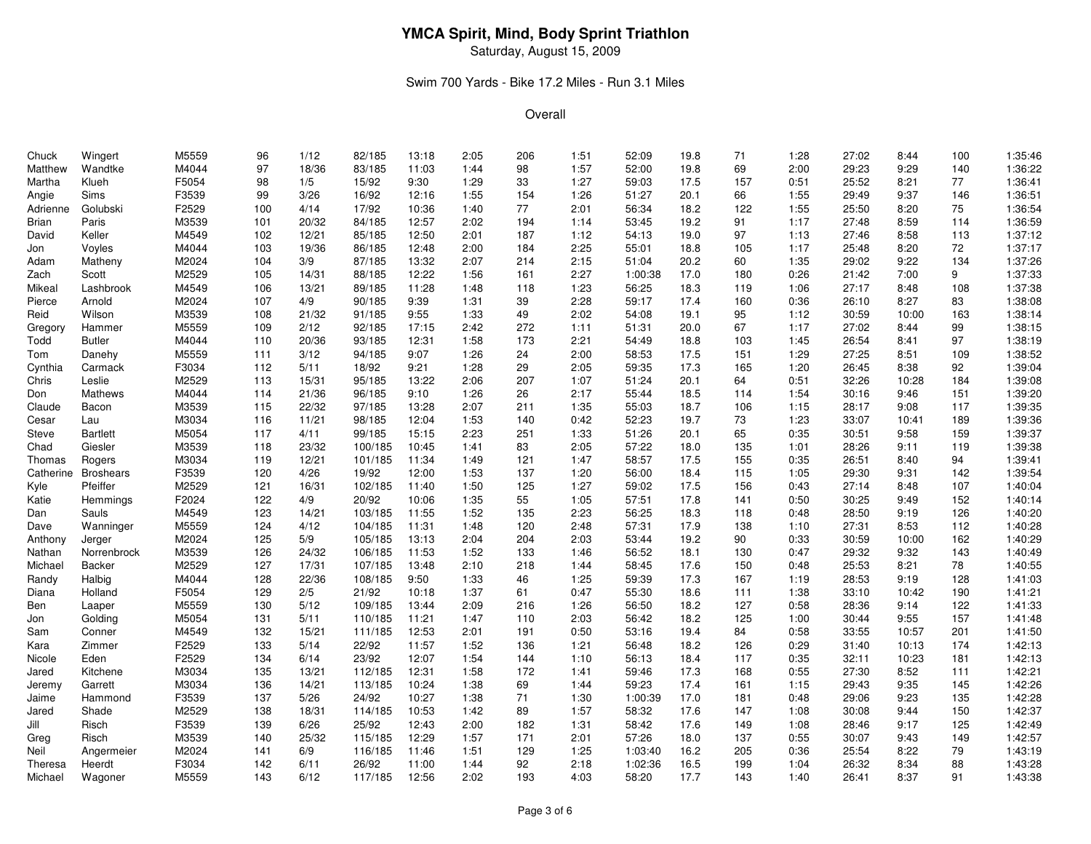Saturday, August 15, 2009

### Swim 700 Yards - Bike 17.2 Miles - Run 3.1 Miles

| Chuck     | Wingert          | M5559 | 96  | 1/12  | 82/185  | 13:18 | 2:05 | 206 | 1:51 | 52:09   | 19.8 | 71  | 1:28 | 27:02 | 8:44  | 100 | 1:35:46 |
|-----------|------------------|-------|-----|-------|---------|-------|------|-----|------|---------|------|-----|------|-------|-------|-----|---------|
| Matthew   | Wandtke          | M4044 | 97  | 18/36 | 83/185  | 11:03 | 1:44 | 98  | 1:57 | 52:00   | 19.8 | 69  | 2:00 | 29:23 | 9:29  | 140 | 1:36:22 |
| Martha    | Klueh            | F5054 | 98  | 1/5   | 15/92   | 9:30  | 1:29 | 33  | 1:27 | 59:03   | 17.5 | 157 | 0:51 | 25:52 | 8:21  | 77  | 1:36:41 |
| Angie     | <b>Sims</b>      | F3539 | 99  | 3/26  | 16/92   | 12:16 | 1:55 | 154 | 1:26 | 51:27   | 20.1 | 66  | 1:55 | 29:49 | 9:37  | 146 | 1:36:51 |
| Adrienne  | Golubski         | F2529 | 100 | 4/14  | 17/92   | 10:36 | 1:40 | 77  | 2:01 | 56:34   | 18.2 | 122 | 1:55 | 25:50 | 8:20  | 75  | 1:36:54 |
| Brian     | Paris            | M3539 | 101 | 20/32 | 84/185  | 12:57 | 2:02 | 194 | 1:14 | 53:45   | 19.2 | 91  | 1:17 | 27:48 | 8:59  | 114 | 1:36:59 |
| David     | Keller           | M4549 | 102 | 12/21 | 85/185  | 12:50 | 2:01 | 187 | 1:12 | 54:13   | 19.0 | 97  | 1:13 | 27:46 | 8:58  | 113 | 1:37:12 |
| Jon       | Voyles           | M4044 | 103 | 19/36 | 86/185  | 12:48 | 2:00 | 184 | 2:25 | 55:01   | 18.8 | 105 | 1:17 | 25:48 | 8:20  | 72  | 1:37:17 |
| Adam      | Matheny          | M2024 | 104 | 3/9   | 87/185  | 13:32 | 2:07 | 214 | 2:15 | 51:04   | 20.2 | 60  | 1:35 | 29:02 | 9:22  | 134 | 1:37:26 |
| Zach      | Scott            | M2529 | 105 | 14/31 | 88/185  | 12:22 | 1:56 | 161 | 2:27 | 1:00:38 | 17.0 | 180 | 0:26 | 21:42 | 7:00  | 9   | 1:37:33 |
| Mikeal    | Lashbrook        | M4549 | 106 | 13/21 | 89/185  | 11:28 | 1:48 | 118 | 1:23 | 56:25   | 18.3 | 119 | 1:06 | 27:17 | 8:48  | 108 | 1:37:38 |
| Pierce    | Arnold           | M2024 | 107 | 4/9   | 90/185  | 9:39  | 1:31 | 39  | 2:28 | 59:17   | 17.4 | 160 | 0:36 | 26:10 | 8:27  | 83  | 1:38:08 |
| Reid      | Wilson           | M3539 | 108 | 21/32 | 91/185  | 9:55  | 1:33 | 49  | 2:02 | 54:08   | 19.1 | 95  | 1:12 | 30:59 | 10:00 | 163 | 1:38:14 |
| Gregory   | Hammer           | M5559 | 109 | 2/12  | 92/185  | 17:15 | 2:42 | 272 | 1:11 | 51:31   | 20.0 | 67  | 1:17 | 27:02 | 8:44  | 99  | 1:38:15 |
| Todd      | <b>Butler</b>    | M4044 | 110 | 20/36 | 93/185  | 12:31 | 1:58 | 173 | 2:21 | 54:49   | 18.8 | 103 | 1:45 | 26:54 | 8:41  | 97  | 1:38:19 |
| Tom       | Danehy           | M5559 | 111 | 3/12  | 94/185  | 9:07  | 1:26 | 24  | 2:00 | 58:53   | 17.5 | 151 | 1:29 | 27:25 | 8:51  | 109 | 1:38:52 |
| Cynthia   | Carmack          | F3034 | 112 | 5/11  | 18/92   | 9:21  | 1:28 | 29  | 2:05 | 59:35   | 17.3 | 165 | 1:20 | 26:45 | 8:38  | 92  | 1:39:04 |
| Chris     | Leslie           | M2529 | 113 | 15/31 | 95/185  | 13:22 | 2:06 | 207 | 1:07 | 51:24   | 20.1 | 64  | 0:51 | 32:26 | 10:28 | 184 | 1:39:08 |
| Don       | Mathews          | M4044 | 114 | 21/36 | 96/185  | 9:10  | 1:26 | 26  | 2:17 | 55:44   | 18.5 | 114 | 1:54 | 30:16 | 9:46  | 151 | 1:39:20 |
| Claude    | Bacon            | M3539 | 115 | 22/32 | 97/185  | 13:28 | 2:07 | 211 | 1:35 | 55:03   | 18.7 | 106 | 1:15 | 28:17 | 9:08  | 117 | 1:39:35 |
| Cesar     | Lau              | M3034 | 116 | 11/21 | 98/185  | 12:04 | 1:53 | 140 | 0:42 | 52:23   | 19.7 | 73  | 1:23 | 33:07 | 10:41 | 189 | 1:39:36 |
| Steve     | <b>Bartlett</b>  | M5054 | 117 | 4/11  | 99/185  | 15:15 | 2:23 | 251 | 1:33 | 51:26   | 20.1 | 65  | 0:35 | 30:51 | 9:58  | 159 | 1:39:37 |
| Chad      | Giesler          | M3539 | 118 | 23/32 | 100/185 | 10:45 | 1:41 | 83  | 2:05 | 57:22   | 18.0 | 135 | 1:01 | 28:26 | 9:11  | 119 | 1:39:38 |
| Thomas    | Rogers           | M3034 | 119 | 12/21 | 101/185 | 11:34 | 1:49 | 121 | 1:47 | 58:57   | 17.5 | 155 | 0:35 | 26:51 | 8:40  | 94  | 1:39:41 |
| Catherine | <b>Broshears</b> | F3539 | 120 | 4/26  | 19/92   | 12:00 | 1:53 | 137 | 1:20 | 56:00   | 18.4 | 115 | 1:05 | 29:30 | 9:31  | 142 | 1:39:54 |
| Kyle      | Pfeiffer         | M2529 | 121 | 16/31 | 102/185 | 11:40 | 1:50 | 125 | 1:27 | 59:02   | 17.5 | 156 | 0:43 | 27:14 | 8:48  | 107 | 1:40:04 |
| Katie     | Hemmings         | F2024 | 122 | 4/9   | 20/92   | 10:06 | 1:35 | 55  | 1:05 | 57:51   | 17.8 | 141 | 0:50 | 30:25 | 9:49  | 152 | 1:40:14 |
| Dan       | Sauls            | M4549 | 123 | 14/21 | 103/185 | 11:55 | 1:52 | 135 | 2:23 | 56:25   | 18.3 | 118 | 0:48 | 28:50 | 9:19  | 126 | 1:40:20 |
| Dave      | Wanninger        | M5559 | 124 | 4/12  | 104/185 | 11:31 | 1:48 | 120 | 2:48 | 57:31   | 17.9 | 138 | 1:10 | 27:31 | 8:53  | 112 | 1:40:28 |
| Anthony   | Jerger           | M2024 | 125 | 5/9   | 105/185 | 13:13 | 2:04 | 204 | 2:03 | 53:44   | 19.2 | 90  | 0:33 | 30:59 | 10:00 | 162 | 1:40:29 |
| Nathan    | Norrenbrock      | M3539 | 126 | 24/32 | 106/185 | 11:53 | 1:52 | 133 | 1:46 | 56:52   | 18.1 | 130 | 0:47 | 29:32 | 9:32  | 143 | 1:40:49 |
| Michael   | <b>Backer</b>    | M2529 | 127 | 17/31 | 107/185 | 13:48 | 2:10 | 218 | 1:44 | 58:45   | 17.6 | 150 | 0:48 | 25:53 | 8:21  | 78  | 1:40:55 |
| Randy     | Halbig           | M4044 | 128 | 22/36 | 108/185 | 9:50  | 1:33 | 46  | 1:25 | 59:39   | 17.3 | 167 | 1:19 | 28:53 | 9:19  | 128 | 1:41:03 |
| Diana     | Holland          | F5054 | 129 | 2/5   | 21/92   | 10:18 | 1:37 | 61  | 0:47 | 55:30   | 18.6 | 111 | 1:38 | 33:10 | 10:42 | 190 | 1:41:21 |
| Ben       | Laaper           | M5559 | 130 | 5/12  | 109/185 | 13:44 | 2:09 | 216 | 1:26 | 56:50   | 18.2 | 127 | 0:58 | 28:36 | 9:14  | 122 | 1:41:33 |
| Jon       | Golding          | M5054 | 131 | 5/11  | 110/185 | 11:21 | 1:47 | 110 | 2:03 | 56:42   | 18.2 | 125 | 1:00 | 30:44 | 9:55  | 157 | 1:41:48 |
| Sam       | Conner           | M4549 | 132 | 15/21 | 111/185 | 12:53 | 2:01 | 191 | 0:50 | 53:16   | 19.4 | 84  | 0:58 | 33:55 | 10:57 | 201 | 1:41:50 |
| Kara      | Zimmer           | F2529 | 133 | 5/14  | 22/92   | 11:57 | 1:52 | 136 | 1:21 | 56:48   | 18.2 | 126 | 0:29 | 31:40 | 10:13 | 174 | 1:42:13 |
| Nicole    | Eden             | F2529 | 134 | 6/14  | 23/92   | 12:07 | 1:54 | 144 | 1:10 | 56:13   | 18.4 | 117 | 0:35 | 32:11 | 10:23 | 181 | 1:42:13 |
| Jared     | Kitchene         | M3034 | 135 | 13/21 | 112/185 | 12:31 | 1:58 | 172 | 1:41 | 59:46   | 17.3 | 168 | 0:55 | 27:30 | 8:52  | 111 | 1:42:21 |
| Jeremy    | Garrett          | M3034 | 136 | 14/21 | 113/185 | 10:24 | 1:38 | 69  | 1:44 | 59:23   | 17.4 | 161 | 1:15 | 29:43 | 9:35  | 145 | 1:42:26 |
| Jaime     | Hammond          | F3539 | 137 | 5/26  | 24/92   | 10:27 | 1:38 | 71  | 1:30 | 1:00:39 | 17.0 | 181 | 0:48 | 29:06 | 9:23  | 135 | 1:42:28 |
| Jared     | Shade            | M2529 | 138 | 18/31 | 114/185 | 10:53 | 1:42 | 89  | 1:57 | 58:32   | 17.6 | 147 | 1:08 | 30:08 | 9:44  | 150 | 1:42:37 |
| Jill      | Risch            | F3539 | 139 | 6/26  | 25/92   | 12:43 | 2:00 | 182 | 1:31 | 58:42   | 17.6 | 149 | 1:08 | 28:46 | 9:17  | 125 | 1:42:49 |
| Greg      | Risch            | M3539 | 140 | 25/32 | 115/185 | 12:29 | 1:57 | 171 | 2:01 | 57:26   | 18.0 | 137 | 0:55 | 30:07 | 9:43  | 149 | 1:42:57 |
| Neil      | Angermeier       | M2024 | 141 | 6/9   | 116/185 | 11:46 | 1:51 | 129 | 1:25 | 1:03:40 | 16.2 | 205 | 0:36 | 25:54 | 8:22  | 79  | 1:43:19 |
| Theresa   | Heerdt           | F3034 | 142 | 6/11  | 26/92   | 11:00 | 1:44 | 92  | 2:18 | 1:02:36 | 16.5 | 199 | 1:04 | 26:32 | 8:34  | 88  | 1:43:28 |
| Michael   | Wagoner          | M5559 | 143 | 6/12  | 117/185 | 12:56 | 2:02 | 193 | 4:03 | 58:20   | 17.7 | 143 | 1:40 | 26:41 | 8:37  | 91  | 1:43:38 |
|           |                  |       |     |       |         |       |      |     |      |         |      |     |      |       |       |     |         |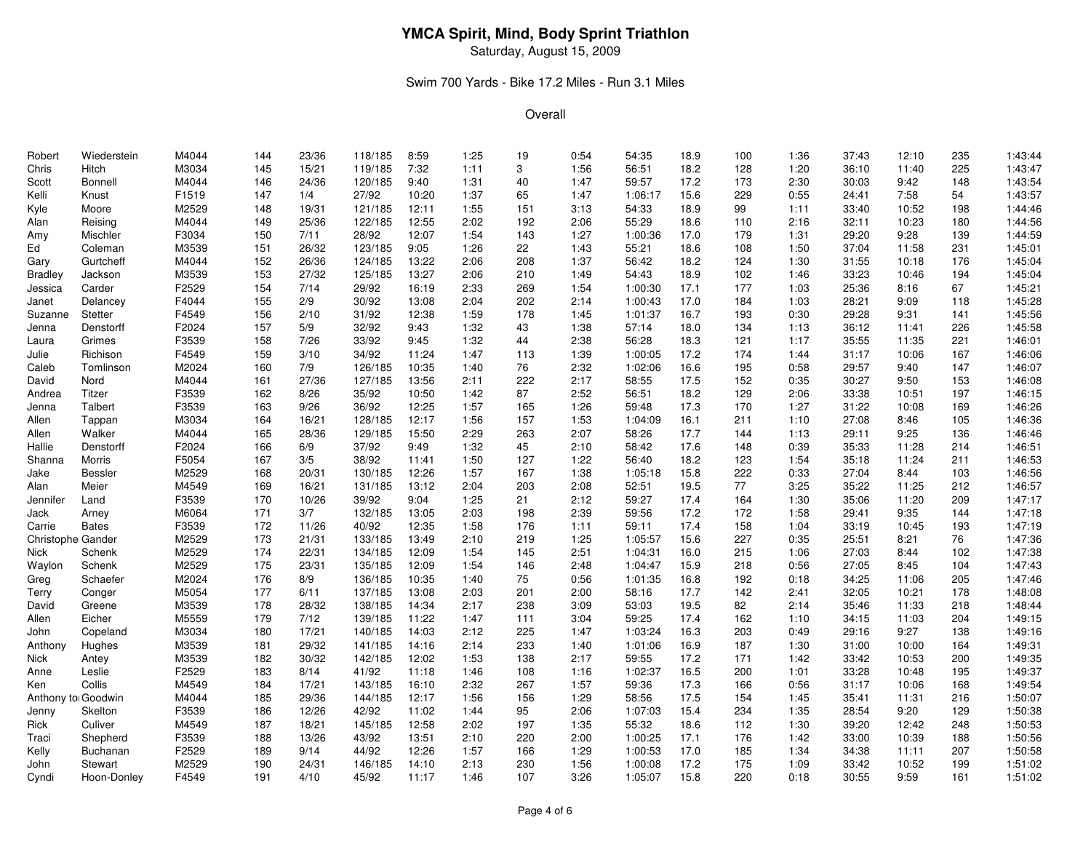Saturday, August 15, 2009

### Swim 700 Yards - Bike 17.2 Miles - Run 3.1 Miles

| Robert             | Wiederstein    | M4044 | 144 | 23/36 | 118/185 | 8:59  | 1:25 | 19  | 0:54 | 54:35   | 18.9 | 100 | 1:36 | 37:43 | 12:10 | 235 | 1:43:44 |
|--------------------|----------------|-------|-----|-------|---------|-------|------|-----|------|---------|------|-----|------|-------|-------|-----|---------|
| Chris              | Hitch          | M3034 | 145 | 15/21 | 119/185 | 7:32  | 1:11 | 3   | 1:56 | 56:51   | 18.2 | 128 | 1:20 | 36:10 | 11:40 | 225 | 1:43:47 |
| Scott              | Bonnell        | M4044 | 146 | 24/36 | 120/185 | 9:40  | 1:31 | 40  | 1:47 | 59:57   | 17.2 | 173 | 2:30 | 30:03 | 9:42  | 148 | 1:43:54 |
| Kelli              | Knust          | F1519 | 147 | 1/4   | 27/92   | 10:20 | 1:37 | 65  | 1:47 | 1:06:17 | 15.6 | 229 | 0:55 | 24:41 | 7:58  | 54  | 1:43:57 |
| Kyle               | Moore          | M2529 | 148 | 19/31 | 121/185 | 12:11 | 1:55 | 151 | 3:13 | 54:33   | 18.9 | 99  | 1:11 | 33:40 | 10:52 | 198 | 1:44:46 |
| Alan               | Reising        | M4044 | 149 | 25/36 | 122/185 | 12:55 | 2:02 | 192 | 2:06 | 55:29   | 18.6 | 110 | 2:16 | 32:11 | 10:23 | 180 | 1:44:56 |
| Amy                | Mischler       | F3034 | 150 | 7/11  | 28/92   | 12:07 | 1:54 | 143 | 1:27 | 1:00:36 | 17.0 | 179 | 1:31 | 29:20 | 9:28  | 139 | 1:44:59 |
| Ed                 | Coleman        | M3539 | 151 | 26/32 | 123/185 | 9:05  | 1:26 | 22  | 1:43 | 55:21   | 18.6 | 108 | 1:50 | 37:04 | 11:58 | 231 | 1:45:01 |
| Gary               | Gurtcheff      | M4044 | 152 | 26/36 | 124/185 | 13:22 | 2:06 | 208 | 1:37 | 56:42   | 18.2 | 124 | 1:30 | 31:55 | 10:18 | 176 | 1:45:04 |
| Bradley            | Jackson        | M3539 | 153 | 27/32 | 125/185 | 13:27 | 2:06 | 210 | 1:49 | 54:43   | 18.9 | 102 | 1:46 | 33:23 | 10:46 | 194 | 1:45:04 |
| Jessica            | Carder         | F2529 | 154 | 7/14  | 29/92   | 16:19 | 2:33 | 269 | 1:54 | 1:00:30 | 17.1 | 177 | 1:03 | 25:36 | 8:16  | 67  | 1:45:21 |
| Janet              | Delancey       | F4044 | 155 | 2/9   | 30/92   | 13:08 | 2:04 | 202 | 2:14 | 1:00:43 | 17.0 | 184 | 1:03 | 28:21 | 9:09  | 118 | 1:45:28 |
| Suzanne            | Stetter        | F4549 | 156 | 2/10  | 31/92   | 12:38 | 1:59 | 178 | 1:45 | 1:01:37 | 16.7 | 193 | 0:30 | 29:28 | 9:31  | 141 | 1:45:56 |
| Jenna              | Denstorff      | F2024 | 157 | 5/9   | 32/92   | 9:43  | 1:32 | 43  | 1:38 | 57:14   | 18.0 | 134 | 1:13 | 36:12 | 11:41 | 226 | 1:45:58 |
| Laura              | Grimes         | F3539 | 158 | 7/26  | 33/92   | 9:45  | 1:32 | 44  | 2:38 | 56:28   | 18.3 | 121 | 1:17 | 35:55 | 11:35 | 221 | 1:46:01 |
| Julie              | Richison       | F4549 | 159 | 3/10  | 34/92   | 11:24 | 1:47 | 113 | 1:39 | 1:00:05 | 17.2 | 174 | 1:44 | 31:17 | 10:06 | 167 | 1:46:06 |
| Caleb              | Tomlinson      | M2024 | 160 | 7/9   | 126/185 | 10:35 | 1:40 | 76  | 2:32 | 1:02:06 | 16.6 | 195 | 0:58 | 29:57 | 9:40  | 147 | 1:46:07 |
| David              | Nord           | M4044 | 161 | 27/36 | 127/185 | 13:56 | 2:11 | 222 | 2:17 | 58:55   | 17.5 | 152 | 0:35 | 30:27 | 9:50  | 153 | 1:46:08 |
| Andrea             | Titzer         | F3539 | 162 | 8/26  | 35/92   | 10:50 | 1:42 | 87  | 2:52 | 56:51   | 18.2 | 129 | 2:06 | 33:38 | 10:51 | 197 | 1:46:15 |
| Jenna              | Talbert        | F3539 | 163 | 9/26  | 36/92   | 12:25 | 1:57 | 165 | 1:26 | 59:48   | 17.3 | 170 | 1:27 | 31:22 | 10:08 | 169 | 1:46:26 |
| Allen              | Tappan         | M3034 | 164 | 16/21 | 128/185 | 12:17 | 1:56 | 157 | 1:53 | 1:04:09 | 16.1 | 211 | 1:10 | 27:08 | 8:46  | 105 | 1:46:36 |
| Allen              | Walker         | M4044 | 165 | 28/36 | 129/185 | 15:50 | 2:29 | 263 | 2:07 | 58:26   | 17.7 | 144 | 1:13 | 29:11 | 9:25  | 136 | 1:46:46 |
| Hallie             | Denstorff      | F2024 | 166 | 6/9   | 37/92   | 9:49  | 1:32 | 45  | 2:10 | 58:42   | 17.6 | 148 | 0:39 | 35:33 | 11:28 | 214 | 1:46:51 |
| Shanna             | Morris         | F5054 | 167 | 3/5   | 38/92   | 11:41 | 1:50 | 127 | 1:22 | 56:40   | 18.2 | 123 | 1:54 | 35:18 | 11:24 | 211 | 1:46:53 |
| Jake               | <b>Bessler</b> | M2529 | 168 | 20/31 | 130/185 | 12:26 | 1:57 | 167 | 1:38 | 1:05:18 | 15.8 | 222 | 0:33 | 27:04 | 8:44  | 103 | 1:46:56 |
| Alan               | Meier          | M4549 | 169 | 16/21 | 131/185 | 13:12 | 2:04 | 203 | 2:08 | 52:51   | 19.5 | 77  | 3:25 | 35:22 | 11:25 | 212 | 1:46:57 |
| Jennifer           | Land           | F3539 | 170 | 10/26 | 39/92   | 9:04  | 1:25 | 21  | 2:12 | 59:27   | 17.4 | 164 | 1:30 | 35:06 | 11:20 | 209 | 1:47:17 |
| Jack               | Arney          | M6064 | 171 | 3/7   | 132/185 | 13:05 | 2:03 | 198 | 2:39 | 59:56   | 17.2 | 172 | 1:58 | 29:41 | 9:35  | 144 | 1:47:18 |
| Carrie             | <b>Bates</b>   | F3539 | 172 | 11/26 | 40/92   | 12:35 | 1:58 | 176 | 1:11 | 59:11   | 17.4 | 158 | 1:04 | 33:19 | 10:45 | 193 | 1:47:19 |
| Christophe Gander  |                | M2529 | 173 | 21/31 | 133/185 | 13:49 | 2:10 | 219 | 1:25 | 1:05:57 | 15.6 | 227 | 0:35 | 25:51 | 8:21  | 76  | 1:47:36 |
| Nick               | Schenk         | M2529 | 174 | 22/31 | 134/185 | 12:09 | 1:54 | 145 | 2:51 | 1:04:31 | 16.0 | 215 | 1:06 | 27:03 | 8:44  | 102 | 1:47:38 |
| Waylon             | Schenk         | M2529 | 175 | 23/31 | 135/185 | 12:09 | 1:54 | 146 | 2:48 | 1:04:47 | 15.9 | 218 | 0:56 | 27:05 | 8:45  | 104 | 1:47:43 |
| Greg               | Schaefer       | M2024 | 176 | 8/9   | 136/185 | 10:35 | 1:40 | 75  | 0:56 | 1:01:35 | 16.8 | 192 | 0:18 | 34:25 | 11:06 | 205 | 1:47:46 |
| Terry              | Conger         | M5054 | 177 | 6/11  | 137/185 | 13:08 | 2:03 | 201 | 2:00 | 58:16   | 17.7 | 142 | 2:41 | 32:05 | 10:21 | 178 | 1:48:08 |
| David              | Greene         | M3539 | 178 | 28/32 | 138/185 | 14:34 | 2:17 | 238 | 3:09 | 53:03   | 19.5 | 82  | 2:14 | 35:46 | 11:33 | 218 | 1:48:44 |
| Allen              | Eicher         | M5559 | 179 | 7/12  | 139/185 | 11:22 | 1:47 | 111 | 3:04 | 59:25   | 17.4 | 162 | 1:10 | 34:15 | 11:03 | 204 | 1:49:15 |
| John               | Copeland       | M3034 | 180 | 17/21 | 140/185 | 14:03 | 2:12 | 225 | 1:47 | 1:03:24 | 16.3 | 203 | 0:49 | 29:16 | 9:27  | 138 | 1:49:16 |
| Anthony            | Hughes         | M3539 | 181 | 29/32 | 141/185 | 14:16 | 2:14 | 233 | 1:40 | 1:01:06 | 16.9 | 187 | 1:30 | 31:00 | 10:00 | 164 | 1:49:31 |
| Nick               | Antey          | M3539 | 182 | 30/32 | 142/185 | 12:02 | 1:53 | 138 | 2:17 | 59:55   | 17.2 | 171 | 1:42 | 33:42 | 10:53 | 200 | 1:49:35 |
| Anne               | Leslie         | F2529 | 183 | 8/14  | 41/92   | 11:18 | 1:46 | 108 | 1:16 | 1:02:37 | 16.5 | 200 | 1:01 | 33:28 | 10:48 | 195 | 1:49:37 |
| Ken                | Collis         | M4549 | 184 | 17/21 | 143/185 | 16:10 | 2:32 | 267 | 1:57 | 59:36   | 17.3 | 166 | 0:56 | 31:17 | 10:06 | 168 | 1:49:54 |
| Anthony to Goodwin |                | M4044 | 185 | 29/36 | 144/185 | 12:17 | 1:56 | 156 | 1:29 | 58:56   | 17.5 | 154 | 1:45 | 35:41 | 11:31 | 216 | 1:50:07 |
| Jenny              | Skelton        | F3539 | 186 | 12/26 | 42/92   | 11:02 | 1:44 | 95  | 2:06 | 1:07:03 | 15.4 | 234 | 1:35 | 28:54 | 9:20  | 129 | 1:50:38 |
| Rick               | Culiver        | M4549 | 187 | 18/21 | 145/185 | 12:58 | 2:02 | 197 | 1:35 | 55:32   | 18.6 | 112 | 1:30 | 39:20 | 12:42 | 248 | 1:50:53 |
| Traci              | Shepherd       | F3539 | 188 | 13/26 | 43/92   | 13:51 | 2:10 | 220 | 2:00 | 1:00:25 | 17.1 | 176 | 1:42 | 33:00 | 10:39 | 188 | 1:50:56 |
| Kelly              | Buchanan       | F2529 | 189 | 9/14  | 44/92   | 12:26 | 1:57 | 166 | 1:29 | 1:00:53 | 17.0 | 185 | 1:34 | 34:38 | 11:11 | 207 | 1:50:58 |
| John               | Stewart        | M2529 | 190 | 24/31 | 146/185 | 14:10 | 2:13 | 230 | 1:56 | 1:00:08 | 17.2 | 175 | 1:09 | 33:42 | 10:52 | 199 | 1:51:02 |
| Cyndi              | Hoon-Donley    | F4549 | 191 | 4/10  | 45/92   | 11:17 | 1:46 | 107 | 3:26 | 1:05:07 | 15.8 | 220 | 0:18 | 30:55 | 9:59  | 161 | 1:51:02 |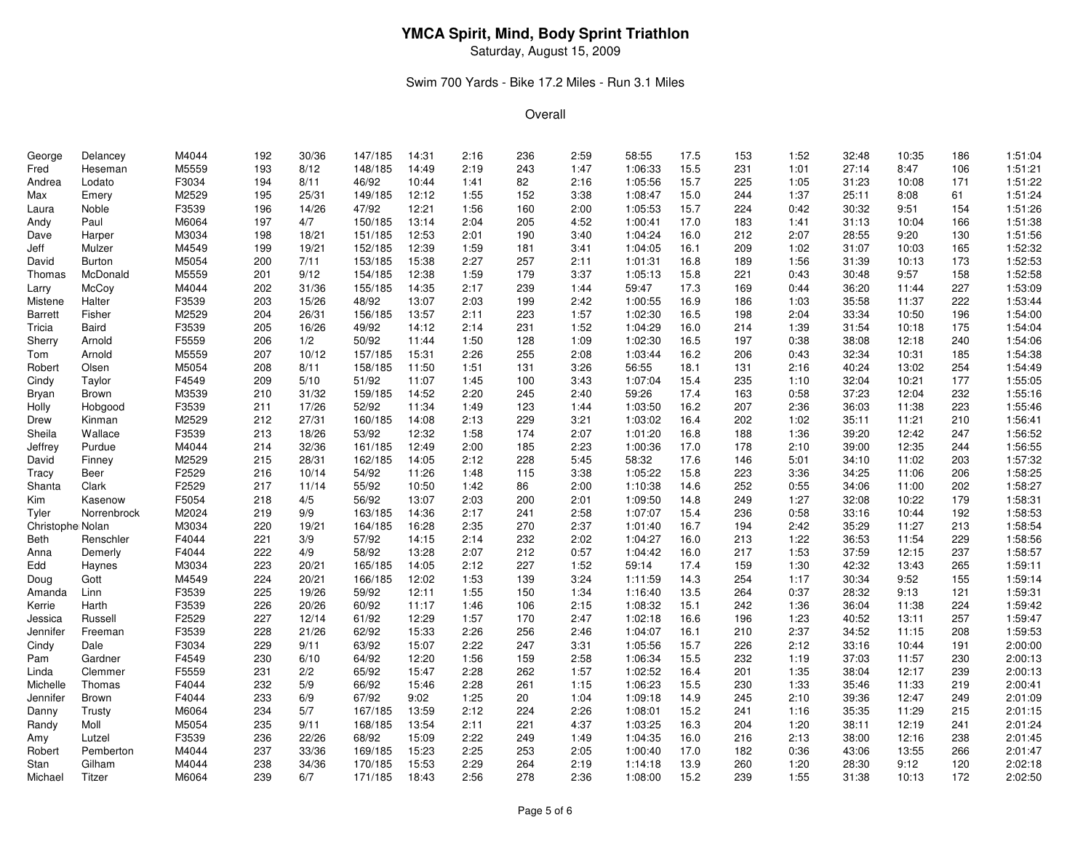Saturday, August 15, 2009

### Swim 700 Yards - Bike 17.2 Miles - Run 3.1 Miles

| George           | Delancey      | M4044          | 192 | 30/36 | 147/185 | 14:31 | 2:16 | 236 | 2:59 | 58:55   | 17.5 | 153 | 1:52 | 32:48 | 10:35         | 186 | 1:51:04            |
|------------------|---------------|----------------|-----|-------|---------|-------|------|-----|------|---------|------|-----|------|-------|---------------|-----|--------------------|
| Fred             | Heseman       | M5559          | 193 | 8/12  | 148/185 | 14:49 | 2:19 | 243 | 1:47 | 1:06:33 | 15.5 | 231 | 1:01 | 27:14 | 8:47          | 106 | 1:51:21            |
| Andrea           | Lodato        | F3034          | 194 | 8/11  | 46/92   | 10:44 | 1:41 | 82  | 2:16 | 1:05:56 | 15.7 | 225 | 1:05 | 31:23 | 10:08         | 171 | 1:51:22            |
| Max              | Emery         | M2529          | 195 | 25/31 | 149/185 | 12:12 | 1:55 | 152 | 3:38 | 1:08:47 | 15.0 | 244 | 1:37 | 25:11 | 8:08          | 61  | 1:51:24            |
| Laura            | Noble         | F3539          | 196 | 14/26 | 47/92   | 12:21 | 1:56 | 160 | 2:00 | 1:05:53 | 15.7 | 224 | 0:42 | 30:32 | 9:51          | 154 | 1:51:26            |
| Andy             | Paul          | M6064          | 197 | 4/7   | 150/185 | 13:14 | 2:04 | 205 | 4:52 | 1:00:41 | 17.0 | 183 | 1:41 | 31:13 | 10:04         | 166 | 1:51:38            |
| Dave             | Harper        | M3034          | 198 | 18/21 | 151/185 | 12:53 | 2:01 | 190 | 3:40 | 1:04:24 | 16.0 | 212 | 2:07 | 28:55 | 9:20          | 130 | 1:51:56            |
| Jeff             | Mulzer        | M4549          | 199 | 19/21 | 152/185 | 12:39 | 1:59 | 181 | 3:41 | 1:04:05 | 16.1 | 209 | 1:02 | 31:07 | 10:03         | 165 | 1:52:32            |
| David            | <b>Burton</b> | M5054          | 200 | 7/11  | 153/185 | 15:38 | 2:27 | 257 | 2:11 | 1:01:31 | 16.8 | 189 | 1:56 | 31:39 | 10:13         | 173 | 1:52:53            |
| Thomas           | McDonald      | M5559          | 201 | 9/12  | 154/185 | 12:38 | 1:59 | 179 | 3:37 | 1:05:13 | 15.8 | 221 | 0:43 | 30:48 | 9:57          | 158 | 1:52:58            |
| Larry            | McCoy         | M4044          | 202 | 31/36 | 155/185 | 14:35 | 2:17 | 239 | 1:44 | 59:47   | 17.3 | 169 | 0:44 | 36:20 | 11:44         | 227 | 1:53:09            |
| Mistene          | Halter        | F3539          | 203 | 15/26 | 48/92   | 13:07 | 2:03 | 199 | 2:42 | 1:00:55 | 16.9 | 186 | 1:03 | 35:58 | 11:37         | 222 | 1:53:44            |
| Barrett          | Fisher        | M2529          | 204 | 26/31 | 156/185 | 13:57 | 2:11 | 223 | 1:57 | 1:02:30 | 16.5 | 198 | 2:04 | 33:34 | 10:50         | 196 | 1:54:00            |
| Tricia           | Baird         | F3539          | 205 | 16/26 | 49/92   | 14:12 | 2:14 | 231 | 1:52 | 1:04:29 | 16.0 | 214 | 1:39 | 31:54 | 10:18         | 175 | 1:54:04            |
| Sherry           | Arnold        | F5559          | 206 | 1/2   | 50/92   | 11:44 | 1:50 | 128 | 1:09 | 1:02:30 | 16.5 | 197 | 0:38 | 38:08 | 12:18         | 240 | 1:54:06            |
| Tom              | Arnold        | M5559          | 207 | 10/12 | 157/185 | 15:31 | 2:26 | 255 | 2:08 | 1:03:44 | 16.2 | 206 | 0:43 | 32:34 | 10:31         | 185 | 1:54:38            |
| Robert           | Olsen         | M5054          | 208 | 8/11  | 158/185 | 11:50 | 1:51 | 131 | 3:26 | 56:55   | 18.1 | 131 | 2:16 | 40:24 | 13:02         | 254 | 1:54:49            |
| Cindy            | Taylor        | F4549          | 209 | 5/10  | 51/92   | 11:07 | 1:45 | 100 | 3:43 | 1:07:04 | 15.4 | 235 | 1:10 | 32:04 | 10:21         | 177 | 1:55:05            |
| Bryan            | Brown         | M3539          | 210 | 31/32 | 159/185 | 14:52 | 2:20 | 245 | 2:40 | 59:26   | 17.4 | 163 | 0:58 | 37:23 | 12:04         | 232 | 1:55:16            |
| Holly            | Hobgood       | F3539          | 211 | 17/26 | 52/92   | 11:34 | 1:49 | 123 | 1:44 | 1:03:50 | 16.2 | 207 | 2:36 | 36:03 | 11:38         | 223 | 1:55:46            |
| Drew             | Kinman        | M2529          | 212 | 27/31 | 160/185 | 14:08 | 2:13 | 229 | 3:21 | 1:03:02 | 16.4 | 202 | 1:02 | 35:11 | 11:21         | 210 | 1:56:41            |
| Sheila           | Wallace       | F3539          | 213 | 18/26 | 53/92   | 12:32 | 1:58 | 174 | 2:07 | 1:01:20 | 16.8 | 188 | 1:36 | 39:20 | 12:42         | 247 | 1:56:52            |
| Jeffrey          | Purdue        | M4044          | 214 | 32/36 | 161/185 | 12:49 | 2:00 | 185 | 2:23 | 1:00:36 | 17.0 | 178 | 2:10 | 39:00 | 12:35         | 244 | 1:56:55            |
| David            | Finney        | M2529          | 215 | 28/31 | 162/185 | 14:05 | 2:12 | 228 | 5:45 | 58:32   | 17.6 | 146 | 5:01 | 34:10 | 11:02         | 203 | 1:57:32            |
| Tracy            | Beer          | F2529          | 216 | 10/14 | 54/92   | 11:26 | 1:48 | 115 | 3:38 | 1:05:22 | 15.8 | 223 | 3:36 | 34:25 | 11:06         | 206 | 1:58:25            |
| Shanta           | Clark         | F2529          | 217 | 11/14 | 55/92   | 10:50 | 1:42 | 86  | 2:00 | 1:10:38 | 14.6 | 252 | 0:55 | 34:06 | 11:00         | 202 | 1:58:27            |
| Kim              | Kasenow       | F5054          | 218 | 4/5   | 56/92   | 13:07 | 2:03 | 200 | 2:01 | 1:09:50 | 14.8 | 249 | 1:27 | 32:08 | 10:22         | 179 | 1:58:31            |
| Tyler            | Norrenbrock   | M2024          | 219 | 9/9   | 163/185 | 14:36 | 2:17 | 241 | 2:58 | 1:07:07 | 15.4 | 236 | 0:58 | 33:16 | 10:44         | 192 | 1:58:53            |
| Christophe Nolan |               | M3034          | 220 | 19/21 | 164/185 | 16:28 | 2:35 | 270 | 2:37 | 1:01:40 | 16.7 | 194 | 2:42 | 35:29 | 11:27         | 213 | 1:58:54            |
| Beth             | Renschler     | F4044          | 221 | 3/9   | 57/92   | 14:15 | 2:14 | 232 | 2:02 | 1:04:27 | 16.0 | 213 | 1:22 | 36:53 | 11:54         | 229 | 1:58:56            |
|                  | Demerly       | F4044          | 222 | 4/9   | 58/92   | 13:28 | 2:07 | 212 | 0:57 | 1:04:42 | 16.0 | 217 | 1:53 | 37:59 | 12:15         | 237 | 1:58:57            |
| Anna<br>Edd      |               | M3034          | 223 | 20/21 | 165/185 | 14:05 | 2:12 | 227 | 1:52 | 59:14   | 17.4 | 159 | 1:30 | 42:32 | 13:43         | 265 | 1:59:11            |
|                  | Haynes        |                | 224 |       |         |       |      |     |      |         |      |     |      |       | 9:52          |     | 1:59:14            |
| Doug             | Gott          | M4549          |     | 20/21 | 166/185 | 12:02 | 1:53 | 139 | 3:24 | 1:11:59 | 14.3 | 254 | 1:17 | 30:34 |               | 155 | 1:59:31            |
| Amanda           | Linn          | F3539<br>F3539 | 225 | 19/26 | 59/92   | 12:11 | 1:55 | 150 | 1:34 | 1:16:40 | 13.5 | 264 | 0:37 | 28:32 | 9:13<br>11:38 | 121 | 1:59:42            |
| Kerrie           | Harth         |                | 226 | 20/26 | 60/92   | 11:17 | 1:46 | 106 | 2:15 | 1:08:32 | 15.1 | 242 | 1:36 | 36:04 |               | 224 |                    |
| Jessica          | Russell       | F2529<br>F3539 | 227 | 12/14 | 61/92   | 12:29 | 1:57 | 170 | 2:47 | 1:02:18 | 16.6 | 196 | 1:23 | 40:52 | 13:11         | 257 | 1:59:47<br>1:59:53 |
| Jennifer         | Freeman       |                | 228 | 21/26 | 62/92   | 15:33 | 2:26 | 256 | 2:46 | 1:04:07 | 16.1 | 210 | 2:37 | 34:52 | 11:15         | 208 |                    |
| Cindy            | Dale          | F3034          | 229 | 9/11  | 63/92   | 15:07 | 2:22 | 247 | 3:31 | 1:05:56 | 15.7 | 226 | 2:12 | 33:16 | 10:44         | 191 | 2:00:00            |
| Pam              | Gardner       | F4549          | 230 | 6/10  | 64/92   | 12:20 | 1:56 | 159 | 2:58 | 1:06:34 | 15.5 | 232 | 1:19 | 37:03 | 11:57         | 230 | 2:00:13            |
| Linda            | Clemmer       | F5559          | 231 | 2/2   | 65/92   | 15:47 | 2:28 | 262 | 1:57 | 1:02:52 | 16.4 | 201 | 1:35 | 38:04 | 12:17         | 239 | 2:00:13            |
| Michelle         | Thomas        | F4044          | 232 | $5/9$ | 66/92   | 15:46 | 2:28 | 261 | 1:15 | 1:06:23 | 15.5 | 230 | 1:33 | 35:46 | 11:33         | 219 | 2:00:41            |
| Jennifer         | Brown         | F4044          | 233 | 6/9   | 67/92   | 9:02  | 1:25 | 20  | 1:04 | 1:09:18 | 14.9 | 245 | 2:10 | 39:36 | 12:47         | 249 | 2:01:09            |
| Danny            | Trusty        | M6064          | 234 | 5/7   | 167/185 | 13:59 | 2:12 | 224 | 2:26 | 1:08:01 | 15.2 | 241 | 1:16 | 35:35 | 11:29         | 215 | 2:01:15            |
| Randy            | Moll          | M5054          | 235 | 9/11  | 168/185 | 13:54 | 2:11 | 221 | 4:37 | 1:03:25 | 16.3 | 204 | 1:20 | 38:11 | 12:19         | 241 | 2:01:24            |
| Amy              | Lutzel        | F3539          | 236 | 22/26 | 68/92   | 15:09 | 2:22 | 249 | 1:49 | 1:04:35 | 16.0 | 216 | 2:13 | 38:00 | 12:16         | 238 | 2:01:45            |
| Robert           | Pemberton     | M4044          | 237 | 33/36 | 169/185 | 15:23 | 2:25 | 253 | 2:05 | 1:00:40 | 17.0 | 182 | 0:36 | 43:06 | 13:55         | 266 | 2:01:47            |
| Stan             | Gilham        | M4044          | 238 | 34/36 | 170/185 | 15:53 | 2:29 | 264 | 2:19 | 1:14:18 | 13.9 | 260 | 1:20 | 28:30 | 9:12          | 120 | 2:02:18            |
| Michael          | Titzer        | M6064          | 239 | 6/7   | 171/185 | 18:43 | 2:56 | 278 | 2:36 | 1:08:00 | 15.2 | 239 | 1:55 | 31:38 | 10:13         | 172 | 2:02:50            |